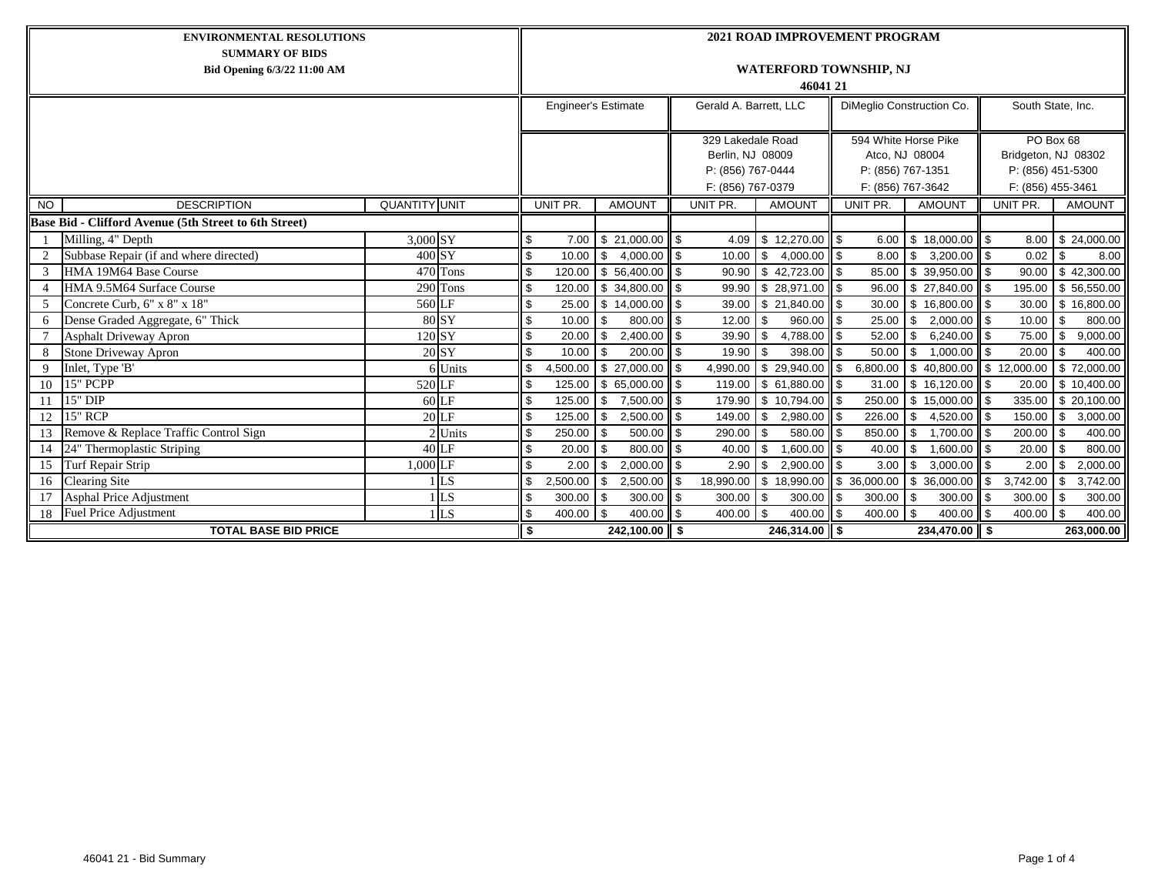| <b>ENVIRONMENTAL RESOLUTIONS</b>                                                                |          |                |              |          | <b>2021 ROAD IMPROVEMENT PROGRAM</b>      |       |                               |                       |              |                   |                                        |                   |                                        |     |                       |  |  |  |  |
|-------------------------------------------------------------------------------------------------|----------|----------------|--------------|----------|-------------------------------------------|-------|-------------------------------|-----------------------|--------------|-------------------|----------------------------------------|-------------------|----------------------------------------|-----|-----------------------|--|--|--|--|
| <b>SUMMARY OF BIDS</b><br>Bid Opening 6/3/22 11:00 AM                                           |          |                |              |          | <b>WATERFORD TOWNSHIP, NJ</b><br>46041 21 |       |                               |                       |              |                   |                                        |                   |                                        |     |                       |  |  |  |  |
|                                                                                                 |          |                |              |          | <b>Engineer's Estimate</b>                |       | Gerald A. Barrett, LLC        |                       |              |                   | DiMeglio Construction Co.              | South State, Inc. |                                        |     |                       |  |  |  |  |
|                                                                                                 |          |                |              |          |                                           |       | 329 Lakedale Road             |                       |              |                   | 594 White Horse Pike                   |                   | PO Box 68                              |     |                       |  |  |  |  |
|                                                                                                 |          |                |              |          |                                           |       | Berlin, NJ 08009              |                       |              | Atco, NJ 08004    |                                        |                   | Bridgeton, NJ 08302                    |     |                       |  |  |  |  |
|                                                                                                 |          |                |              |          |                                           |       | P: (856) 767-0444             |                       |              | P: (856) 767-1351 |                                        |                   | P: (856) 451-5300<br>F: (856) 455-3461 |     |                       |  |  |  |  |
| <b>QUANTITY UNIT</b>                                                                            |          |                |              | UNIT PR. | <b>AMOUNT</b>                             |       | F: (856) 767-0379<br>UNIT PR. | <b>AMOUNT</b>         |              | UNIT PR.          | F: (856) 767-3642<br><b>AMOUNT</b>     |                   | UNIT PR.                               |     | <b>AMOUNT</b>         |  |  |  |  |
| <b>DESCRIPTION</b><br><b>NO</b><br><b>Base Bid - Clifford Avenue (5th Street to 6th Street)</b> |          |                |              |          |                                           |       |                               |                       |              |                   |                                        |                   |                                        |     |                       |  |  |  |  |
|                                                                                                 | 3,000 SY |                | \$           | 7.00     |                                           |       |                               | 4.09 \$12,270.00      | ll \$        | 6.00              |                                        |                   | 8.00                                   |     |                       |  |  |  |  |
| Milling, 4" Depth<br>Subbase Repair (if and where directed)                                     | 400 SY   |                | \$           | 10.00    | $$21,000.00$ \$<br>$4,000.00$ \$<br>- \$  |       | 10.00                         | \$.<br>4.000.00       |              | 8.00              | $$18,000.00$ \$<br>$3,200.00$ \$<br>\$ |                   | 0.02                                   |     | \$24,000.00<br>8.00   |  |  |  |  |
| HMA 19M64 Base Course                                                                           |          | $470$ Tons     | $\mathbf{s}$ | 120.00   | $$56,400.00$ \ \$                         |       | 90.90                         | \$42,723.00           | l \$<br>l \$ | 85.00             | $39,950.00$ \$<br>- \$                 |                   | 90.00                                  |     | \$42,300.00           |  |  |  |  |
| HMA 9.5M64 Surface Course                                                                       |          | 290 Tons       | \$           | 120.00   | $$34,800.00$ \ \$                         |       | 99.90                         | \$28,971.00           | l \$         | 96.00             | $\sqrt{$}$ 27,840.00                   | $\blacksquare$    | 195.00                                 |     | \$56,550.00           |  |  |  |  |
| Concrete Curb, 6" x 8" x 18"                                                                    | 560 LF   |                | \$           | 25.00    | $$14,000.00$ \ \$                         |       |                               | 39.00 \$ 21,840.00    | l \$         | 30.00             | $$16,800.00$ \ \$                      |                   | 30.00                                  |     | \$16,800.00           |  |  |  |  |
| Dense Graded Aggregate, 6" Thick                                                                |          | 80 SY          | \$           | 10.00    | <b>S</b><br>800.00                        | ll \$ | 12.00                         | \$<br>960.00          | <b>S</b>     | 25.00             | $2,000.00$ \$<br>\$                    |                   | 10.00                                  | -S  | 800.00                |  |  |  |  |
| <b>Asphalt Driveway Apron</b>                                                                   | 120 SY   |                | \$           | 20.00    | $2,400.00$ \$<br><b>S</b>                 |       | 39.90                         | \$<br>4,788.00        | 5            | 52.00             | $6,240.00$ \$<br>- \$                  |                   | 75.00                                  | -S  | 9,000.00              |  |  |  |  |
| Stone Driveway Apron                                                                            |          | 20 SY          | \$           | 10.00    | $200.00$ \$<br><b>S</b>                   |       | 19.90                         | 398.00<br>\$          | l \$         | 50.00             | $1.000.00$ \ \$<br>- \$                |                   | 20.00                                  |     | 400.00                |  |  |  |  |
| Inlet, Type 'B'<br>9                                                                            |          | 6 Units        | \$           | 4,500.00 |                                           |       | 4,990.00                      | \$29,940.00           | <b>S</b>     | 6,800.00          | $\$\,40,800.00\,$ \ \$ 12,000.00       |                   |                                        |     | \$72,000.00           |  |  |  |  |
| 15" PCPP<br>10                                                                                  | 520 LF   |                | \$           | 125.00   | $$65,000.00$ \ \$                         |       | 119.00                        | \$ 61,880.00          | l S          | 31.00             | \$16,120.00                            | $\blacksquare$    | 20.00                                  |     | \$10,400.00           |  |  |  |  |
| $15"$ DIP<br>11                                                                                 |          | 60 LF          | \$           | 125.00   | 7,500.00 \$<br>l \$                       |       | 179.90                        | $\frac{1}{10,794.00}$ | l \$         | 250.00            | $$15,000.00$ \$                        |                   | 335.00                                 |     | \$20,100.00           |  |  |  |  |
| <b>15" RCP</b><br>12                                                                            |          | $20$ LF        | \$           | 125.00   | $2,500.00$ \$<br>l \$                     |       | 149.00                        | \$<br>2.980.00        | ا \$         | 226.00            | $4,520.00$ \$<br>\$                    |                   | 150.00                                 | \$  | 3,000.00              |  |  |  |  |
| Remove & Replace Traffic Control Sign<br>13                                                     |          | 2 Units        | \$           | 250.00   | 500.00<br>-\$                             | ll \$ | 290.00                        | 580.00<br>\$          |              | 850.00            | 1,700.00<br>\$                         | ll \$             | 200.00                                 | \$. | 400.00                |  |  |  |  |
| 24" Thermoplastic Striping<br>14                                                                |          | 40 LF          | \$           | 20.00    | 800.00 \$<br><b>S</b>                     |       | 40.00                         | \$<br>1.600.00        | ll \$        | 40.00             | 1,600.00 \$<br>$\mathbf{s}$            |                   | 20.00                                  | -S  | 800.00                |  |  |  |  |
| Turf Repair Strip<br>15                                                                         | 1,000 LF |                | \$           | 2.00     | $2,000.00$ \$<br><b>S</b>                 |       | 2.90                          | \$<br>2.900.00        | l \$         | 3.00              | $3.000.00$ \ \$<br><b>S</b>            |                   | 2.00                                   |     | 2,000.00              |  |  |  |  |
| <b>Clearing Site</b><br>16                                                                      |          | LS             | \$           | 2,500.00 | 2,500.00<br><b>S</b>                      | l \$  | 18,990.00                     | \$18,990.00           |              | \$36,000.00       | 36,000.00<br>l \$                      | \$                | 3,742.00                               |     | $\overline{3,742.00}$ |  |  |  |  |
| <b>Asphal Price Adjustment</b>                                                                  |          | L <sub>S</sub> | \$           | 300.00   | $300.00$ \$<br>l \$                       |       | $300.00$ \$                   | 300.00                | l \$         | 300.00            | $300.00$ \ \$<br>$\sqrt{3}$            |                   | $300.00$ \ \$                          |     | 300.00                |  |  |  |  |
| <b>Fuel Price Adjustment</b><br>18                                                              |          | LS             | \$           | 400.00   | $400.00$ \ \$<br>$\sqrt{3}$               |       | 400.00                        | - \$<br>400.00        | l \$         | 400.00 \$         | $400.00$ \ \$                          |                   | 400.00                                 | \$  | 400.00                |  |  |  |  |
| <b>TOTAL BASE BID PRICE</b><br>\$                                                               |          |                |              |          | $242,100.00$ \$                           |       |                               | $246,314.00$ \$       |              |                   | $234,470.00$ \$                        |                   |                                        |     | 263,000.00            |  |  |  |  |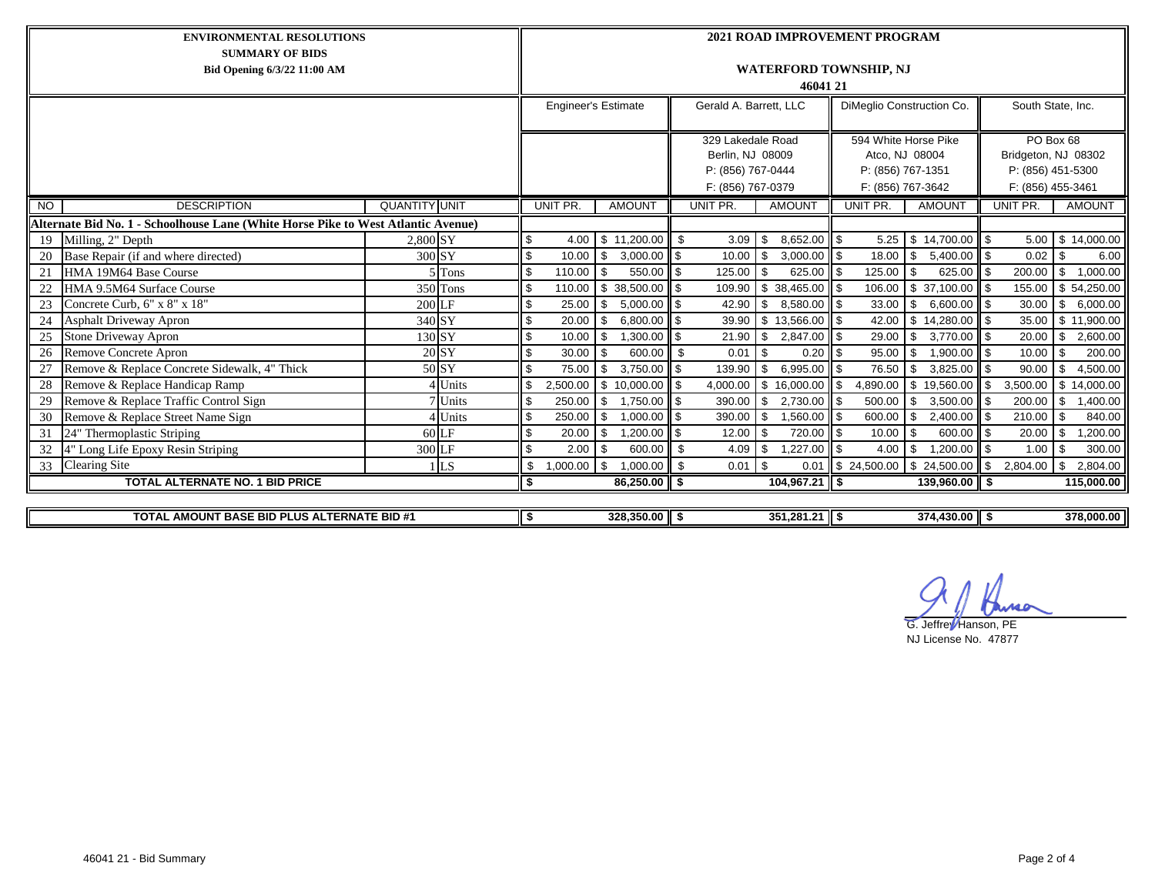| <b>ENVIRONMENTAL RESOLUTIONS</b>                                                  | <b>2021 ROAD IMPROVEMENT PROGRAM</b>      |                |                            |                                                                                 |                        |                     |                                                                                  |                           |                                                                            |                   |  |  |  |  |  |
|-----------------------------------------------------------------------------------|-------------------------------------------|----------------|----------------------------|---------------------------------------------------------------------------------|------------------------|---------------------|----------------------------------------------------------------------------------|---------------------------|----------------------------------------------------------------------------|-------------------|--|--|--|--|--|
| <b>SUMMARY OF BIDS</b><br>Bid Opening 6/3/22 11:00 AM                             | <b>WATERFORD TOWNSHIP, NJ</b><br>46041 21 |                |                            |                                                                                 |                        |                     |                                                                                  |                           |                                                                            |                   |  |  |  |  |  |
|                                                                                   |                                           |                | <b>Engineer's Estimate</b> |                                                                                 | Gerald A. Barrett, LLC |                     |                                                                                  | DiMeglio Construction Co. |                                                                            | South State, Inc. |  |  |  |  |  |
|                                                                                   |                                           |                |                            | 329 Lakedale Road<br>Berlin, NJ 08009<br>P: (856) 767-0444<br>F: (856) 767-0379 |                        |                     | 594 White Horse Pike<br>Atco, NJ 08004<br>P: (856) 767-1351<br>F: (856) 767-3642 |                           | PO Box 68<br>Bridgeton, NJ 08302<br>P: (856) 451-5300<br>F: (856) 455-3461 |                   |  |  |  |  |  |
| <b>DESCRIPTION</b><br><b>NO</b>                                                   | <b>QUANTITY UNIT</b>                      | UNIT PR.       | <b>AMOUNT</b>              |                                                                                 | UNIT PR.               | <b>AMOUNT</b>       | UNIT PR.                                                                         | <b>AMOUNT</b>             | UNIT PR.                                                                   | <b>AMOUNT</b>     |  |  |  |  |  |
| Alternate Bid No. 1 - Schoolhouse Lane (White Horse Pike to West Atlantic Avenue) |                                           |                |                            |                                                                                 |                        |                     |                                                                                  |                           |                                                                            |                   |  |  |  |  |  |
| Milling, 2" Depth<br>19                                                           | $2.800$ SY                                | 4.00<br>\$     | \$11,200.00                | ll s                                                                            | 3.09                   | $8,652.00$ \$<br>-S | 5.25                                                                             | $$14,700.00$ \ \ \$       | 5.00                                                                       | \$14,000.00       |  |  |  |  |  |
| Base Repair (if and where directed)<br>20                                         | 300 SY                                    | \$<br>10.00    | \$<br>3,000.00             | l \$                                                                            | 10.00                  | 3,000.00<br>\$      | <b>S</b><br>18.00                                                                | \$<br>$5,400.00$ \$       | 0.02                                                                       | \$<br>6.00        |  |  |  |  |  |
| HMA 19M64 Base Course<br>21                                                       | $5$ Tons                                  | \$<br>110.00   | 550.00<br>-\$              | l \$                                                                            | 125.00                 | 625.00              | 125.00<br>\$                                                                     | 625.00<br>\$              | 200.00<br>ll \$                                                            | 1.000.00<br>-S    |  |  |  |  |  |
| HMA 9.5M64 Surface Course<br>22                                                   | $350$ Tons                                | 110.00         | $\overline{\$}$ 38,500.00  | l \$                                                                            | 109.90                 | 38,465.00<br>£.     | 106.00<br>\$                                                                     | $\overline{37,100.00}$    | 155.00<br>ll \$                                                            | \$54,250.00       |  |  |  |  |  |
| Concrete Curb, 6" x 8" x 18"<br>23                                                | 200 LF                                    | 25.00          | \$<br>5,000.00             | l \$                                                                            | 42.90                  | 8,580.00<br>\$.     | 33.00<br>-\$                                                                     | \$<br>$6,600.00$ \$       | 30.00                                                                      | 6,000.00<br>\$    |  |  |  |  |  |
| Asphalt Driveway Apron<br>24                                                      | 340 SY                                    | 20.00<br>\$.   | 6,800.00<br>\$             | l \$                                                                            | 39.90                  | \$13,566.00         | <b>II</b> \$<br>42.00                                                            | \$14,280.00               | ll \$<br>35.00                                                             | \$11,900.00       |  |  |  |  |  |
| Stone Driveway Apron<br>25                                                        | 130 SY                                    | \$<br>10.00    | 1,300.00<br>\$             | l \$                                                                            | 21.90                  | 2,847.00<br>\$      | \$<br>29.00                                                                      | \$<br>$3,770.00$ \$       | 20.00                                                                      | 2,600.00<br>\$    |  |  |  |  |  |
| 26<br>Remove Concrete Apron                                                       | $20 \overline{\mathrm{SY}}$               | 30.00<br>\$    | 600.00<br>-\$              | ll \$                                                                           | 0.01                   | 0.20<br>\$          | 95.00<br><b>S</b>                                                                | \$<br>$1,900.00$ \$       | 10.00                                                                      | 200.00<br>\$      |  |  |  |  |  |
| Remove & Replace Concrete Sidewalk, 4" Thick<br>27                                | 50 SY                                     | 75.00<br>\$.   | 3,750.00<br>$\mathbf{s}$   | l \$                                                                            | 139.90                 | 6.995.00<br>\$.     | 76.50<br>$\mathfrak{L}$                                                          | \$<br>3,825.00            | 90.00<br>$\mathfrak{L}$                                                    | 4,500.00<br>£.    |  |  |  |  |  |
| 28<br>Remove & Replace Handicap Ramp                                              | 4 Units                                   | 2,500.00       | $\frac{1}{10,000.00}$      |                                                                                 | 4,000.00               | 16,000.00<br>\$     | \$.<br>4,890.00                                                                  | \$<br>19,560.00           | l \$<br>3,500.00                                                           | 14,000.00<br>\$   |  |  |  |  |  |
| Remove & Replace Traffic Control Sign<br>29                                       | 7 Units                                   | \$<br>250.00   | \$<br>1,750.00             | l \$                                                                            | 390.00                 | 2,730.00<br>\$.     | -S<br>500.00                                                                     | \$<br>3,500.00            | 200.00                                                                     | 1,400.00<br>\$    |  |  |  |  |  |
| Remove & Replace Street Name Sign<br>30                                           | 4 Units                                   | 250.00<br>\$   | 1,000.00<br>\$             | l \$                                                                            | 390.00                 | 1,560.00<br>\$      | 600.00<br><b>S</b>                                                               | $\mathbb{S}$<br>2,400.00  | 210.00<br>ll \$                                                            | 840.00<br>-\$     |  |  |  |  |  |
| 31<br>24" Thermoplastic Striping                                                  | $60$ LF                                   | 20.00<br>\$    | 1,200.00<br>\$             | l \$                                                                            | 12.00                  | 720.00<br>\$        | $\blacksquare$<br>10.00                                                          | 600.00    \$<br>\$        | 20.00                                                                      | ,200.00<br>- \$   |  |  |  |  |  |
| 32<br>4" Long Life Epoxy Resin Striping                                           | 300 LF                                    | 2.00<br>ደ      | 600.00<br>\$               | l s                                                                             | 4.09                   | 1,227.00<br>\$      | $\mathfrak{L}$<br>4.00                                                           | 1,200.00<br>\$            | $\mathbf{s}$<br>1.00                                                       | 300.00<br>-S      |  |  |  |  |  |
| <b>Clearing Site</b><br>33                                                        | LS                                        | 1,000.00<br>\$ | 1,000.00<br>\$             | ll s                                                                            | 0.01                   | $\mathsf{s}$        | $0.01$ \$ 24,500.00                                                              | $$24,500.00$ \\$          | 2,804.00                                                                   | 2,804.00<br>\$    |  |  |  |  |  |
| <b>TOTAL ALTERNATE NO. 1 BID PRICE</b>                                            |                                           | \$             | $86,250.00$ \$             |                                                                                 |                        | $104,967.21$ \$     |                                                                                  | $139,960.00$ \$           |                                                                            | 115,000.00        |  |  |  |  |  |
|                                                                                   |                                           |                | $328,350.00$ \$            |                                                                                 |                        | $351,281.21$ \$     |                                                                                  | $374,430.00$ \$           |                                                                            | 378,000.00        |  |  |  |  |  |
| TOTAL AMOUNT BASE BID PLUS ALTERNATE BID #1                                       |                                           | Ι\$            |                            |                                                                                 |                        |                     |                                                                                  |                           |                                                                            |                   |  |  |  |  |  |

MQ

G. Jeffre Hanson, PE NJ License No. 47877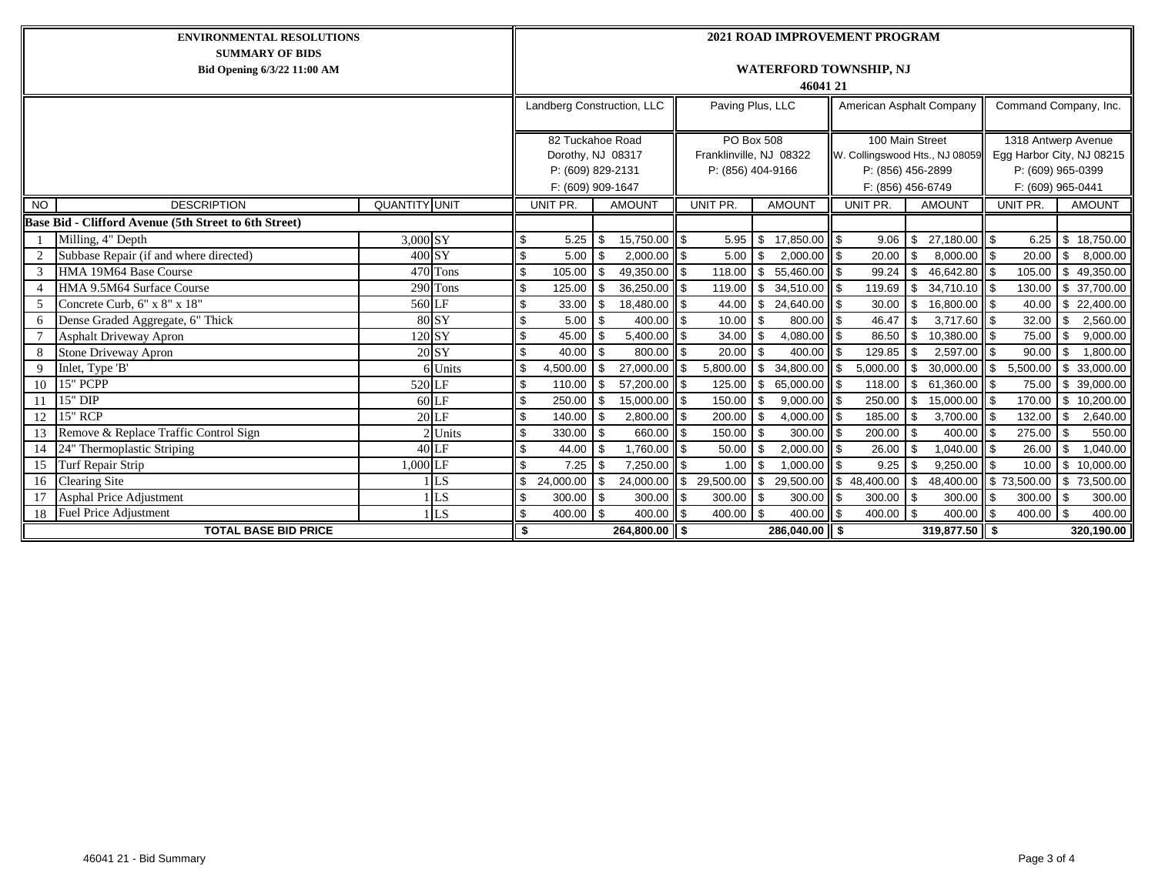| <b>ENVIRONMENTAL RESOLUTIONS</b>                      |                                                       |                      |                       |                            | <b>2021 ROAD IMPROVEMENT PROGRAM</b>      |            |               |                |                         |            |                   |                          |                   |                       |                                |                           |          |                          |               |
|-------------------------------------------------------|-------------------------------------------------------|----------------------|-----------------------|----------------------------|-------------------------------------------|------------|---------------|----------------|-------------------------|------------|-------------------|--------------------------|-------------------|-----------------------|--------------------------------|---------------------------|----------|--------------------------|---------------|
| <b>SUMMARY OF BIDS</b><br>Bid Opening 6/3/22 11:00 AM |                                                       |                      |                       |                            | <b>WATERFORD TOWNSHIP, NJ</b><br>46041 21 |            |               |                |                         |            |                   |                          |                   |                       |                                |                           |          |                          |               |
|                                                       |                                                       |                      |                       | Landberg Construction, LLC |                                           |            |               |                | Paving Plus, LLC        |            |                   | American Asphalt Company |                   | Command Company, Inc. |                                |                           |          |                          |               |
|                                                       |                                                       |                      |                       |                            | 82 Tuckahoe Road                          |            |               |                | <b>PO Box 508</b>       |            |                   | 100 Main Street          |                   | 1318 Antwerp Avenue   |                                |                           |          |                          |               |
|                                                       |                                                       |                      |                       |                            | Dorothy, NJ 08317                         |            |               |                | Franklinville, NJ 08322 |            |                   |                          |                   |                       | W. Collingswood Hts., NJ 08059 | Egg Harbor City, NJ 08215 |          |                          |               |
|                                                       |                                                       |                      |                       |                            | P: (609) 829-2131                         |            |               |                | P: (856) 404-9166       |            |                   |                          | P: (856) 456-2899 |                       |                                | P: (609) 965-0399         |          |                          |               |
|                                                       |                                                       |                      |                       | F: (609) 909-1647          |                                           |            |               |                |                         |            | F: (856) 456-6749 |                          |                   |                       | F: (609) 965-0441              |                           |          |                          |               |
| <b>NO</b>                                             | <b>DESCRIPTION</b>                                    | <b>QUANTITY UNIT</b> |                       |                            | UNIT PR.                                  |            | <b>AMOUNT</b> |                | UNIT PR.                |            | <b>AMOUNT</b>     |                          | UNIT PR.          |                       | <b>AMOUNT</b>                  |                           | UNIT PR. |                          | <b>AMOUNT</b> |
|                                                       | Base Bid - Clifford Avenue (5th Street to 6th Street) |                      |                       |                            |                                           |            |               |                |                         |            |                   |                          |                   |                       |                                |                           |          |                          |               |
|                                                       | Milling, 4" Depth                                     | 3,000 SY             |                       | \$                         | 5.25                                      | \$         | 15,750.00 \$  |                | 5.95                    | - \$       | 17,850.00 \$      |                          | 9.06              | \$                    | 27,180.00 \$                   |                           | 6.25     |                          | \$18,750.00   |
|                                                       | Subbase Repair (if and where directed)                | 400 SY               |                       | \$                         | 5.00                                      | \$         | $2,000.00$ \$ |                | 5.00                    | l \$       | $2,000.00$ \$     |                          | 20.00             | \$.                   | $8,000.00$ \$                  |                           | 20.00    | -S                       | 8,000.00      |
| 3                                                     | HMA 19M64 Base Course                                 |                      | $\overline{470}$ Tons |                            | 105.00                                    | \$         | 49.350.00     | $\mathbf{s}$   | 118.00                  | - \$       | 55.460.00         | \$                       | 99.24             | \$                    | 46.642.80 \$                   |                           | 105.00   | \$                       | 49,350.00     |
|                                                       | HMA 9.5M64 Surface Course                             |                      | 290 Tons              | \$                         | 125.00                                    | \$.        | 36,250.00     |                | 119.00                  | - \$       | 34,510.00         | \$.                      | 119.69            | \$                    | $\overline{3}$ 4,710.10 \$     |                           | 130.00   |                          | \$ 37,700.00  |
| 5                                                     | Concrete Curb, 6" x 8" x 18"                          | 560 LF               |                       |                            | 33.00                                     | \$         | 18,480.00     | \$             | 44.00                   | - \$       | 24,640.00         | \$                       | 30.00             | \$                    | 16,800.00 \$                   |                           | 40.00    |                          | \$22,400.00   |
| 6                                                     | Dense Graded Aggregate, 6" Thick                      |                      | 80 SY                 |                            | 5.00                                      | \$         | 400.00        | \$             | 10.00                   | - \$       | 800.00            | \$                       | 46.47             | \$                    | $3,717.60$ \$                  |                           | 32.00    | -S                       | 2,560.00      |
|                                                       | <b>Asphalt Driveway Apron</b>                         |                      | 120 SY                | \$                         | 45.00                                     | \$         | 5,400.00      | <b>S</b>       | 34.00                   | l \$       | 4,080.00          | \$                       | 86.50             | \$                    | 10,380.00 \$                   |                           | 75.00    | - \$                     | 9,000.00      |
|                                                       | <b>Stone Driveway Apron</b>                           |                      | 20 SY                 |                            | 40.00                                     | - \$       | 800.00        | \$             | 20.00                   |            | 400.00            | \$                       | 129.85            | \$                    | $2.597.00$ \ \$                |                           | 90.00    |                          | 1,800.00      |
| 9                                                     | Inlet, Type 'B'                                       |                      | 6 Units               |                            | 4,500.00                                  | \$         | 27,000.00     | $\mathbf{\$}$  | 5,800.00                | - \$       | 34,800.00         | \$                       | 5,000.00          | \$                    | 30,000.00                      | \$                        | 5,500.00 | \$                       | 33,000.00     |
| 10                                                    | 15" PCPP                                              | 520 LF               |                       | \$                         | 110.00                                    | \$         | 57,200.00     | l \$           | 125.00                  | <b>S</b>   | 65,000.00         | \$                       | 118.00            | \$                    | $61.360.00$ S                  |                           | 75.00    |                          | \$ 39,000.00  |
| 11                                                    | $15"$ DIP                                             |                      | $60$ <sub>LF</sub>    |                            | 250.00                                    | \$         | 15,000.00 \$  |                | 150.00                  |            | 9,000.00          | \$.                      | 250.00            | \$                    | 15,000.00 \$                   |                           | 170.00   | -S                       | 10,200.00     |
| 12                                                    | <b>15" RCP</b>                                        |                      | 20 LF                 |                            | 140.00                                    | \$         | 2,800.00      | <b>S</b>       | 200.00                  | l \$       | 4,000.00          | \$                       | 185.00            | \$                    | $3,700.00$ \$                  |                           | 132.00   | - \$                     | 2,640.00      |
| 13                                                    | Remove & Replace Traffic Control Sign                 |                      | 2 Units               | \$                         | 330.00                                    | - \$       | 660.00        | ا \$           | 150.00                  | l \$       | 300.00            | \$                       | $200.00$ \$       |                       | $400.00$ \$                    |                           | 275.00   | - \$                     | 550.00        |
| 14                                                    | 24" Thermoplastic Striping                            |                      | $40$ LF               |                            | 44.00                                     | \$         | 1,760.00 \$   |                | 50.00                   |            | 2,000.00          | \$                       | 26.00             | \$                    | $1,040.00$ \$                  |                           | 26.00    | -S                       | 1,040.00      |
| 15                                                    | Turf Repair Strip                                     | 1.000 LF             |                       | \$.                        | 7.25                                      | \$         | 7,250.00      | $\mathfrak{L}$ | 1.00                    | l \$       | 1.000.00          | \$                       | 9.25              | \$.                   | $9,250.00$ \$                  |                           | 10.00    | $\mathbf{s}$             | 10,000.00     |
| 16                                                    | <b>Clearing Site</b>                                  |                      | <b>LS</b>             | \$                         | 24,000.00                                 | \$         | 24,000.00     | $\sqrt{3}$     | $\overline{29,500.00}$  | <b>S</b>   | 29,500.00         |                          | \$48,400.00       | \$                    | 48,400.00 \$73,500.00          |                           |          |                          | \$73,500.00   |
| 17                                                    | <b>Asphal Price Adjustment</b>                        |                      | LS.                   |                            | 300.00                                    | <b>S</b>   | 300.00        | -\$            | 300.00                  | l \$       | 300.00            | \$                       | $300.00$ \$       |                       | 300.00                         |                           | 300.00   | l \$                     | 300.00        |
| 18                                                    | Fuel Price Adjustment                                 |                      | $1$ LS                |                            | 400.00                                    | $\sqrt{3}$ | $400.00$ \ \$ |                | 400.00                  | $\sqrt{3}$ | 400.00            | \$                       | $400.00$ \$       |                       | $400.00$ \$                    |                           | 400.00   | $\overline{\phantom{a}}$ | 400.00        |
| <b>TOTAL BASE BID PRICE</b><br>\$                     |                                                       |                      |                       |                            |                                           |            | 264,800.00 \$ |                |                         |            | $286,040.00$ \$   |                          |                   |                       | $319,877.50$ \$                |                           |          |                          | 320,190.00    |